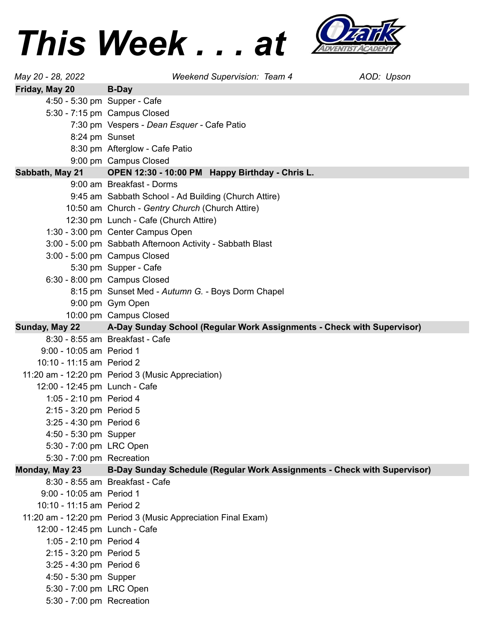## *This Week . . . at*



| May 20 - 28, 2022             | Weekend Supervision: Team 4<br>AOD: Upson                                             |
|-------------------------------|---------------------------------------------------------------------------------------|
| Friday, May 20                | <b>B-Day</b>                                                                          |
| 4:50 - 5:30 pm Supper - Cafe  |                                                                                       |
|                               | 5:30 - 7:15 pm Campus Closed                                                          |
|                               | 7:30 pm Vespers - Dean Esquer - Cafe Patio                                            |
| 8:24 pm Sunset                |                                                                                       |
|                               | 8:30 pm Afterglow - Cafe Patio                                                        |
|                               | 9:00 pm Campus Closed                                                                 |
| Sabbath, May 21               | OPEN 12:30 - 10:00 PM Happy Birthday - Chris L.                                       |
|                               | 9:00 am Breakfast - Dorms                                                             |
|                               | 9:45 am Sabbath School - Ad Building (Church Attire)                                  |
|                               | 10:50 am Church - Gentry Church (Church Attire)                                       |
|                               | 12:30 pm Lunch - Cafe (Church Attire)                                                 |
|                               | 1:30 - 3:00 pm Center Campus Open                                                     |
|                               | 3:00 - 5:00 pm Sabbath Afternoon Activity - Sabbath Blast                             |
|                               | 3:00 - 5:00 pm Campus Closed                                                          |
|                               | 5:30 pm Supper - Cafe                                                                 |
|                               | 6:30 - 8:00 pm Campus Closed                                                          |
|                               | 8:15 pm Sunset Med - Autumn G. - Boys Dorm Chapel                                     |
|                               | 9:00 pm Gym Open                                                                      |
|                               | 10:00 pm Campus Closed                                                                |
|                               | Sunday, May 22 A-Day Sunday School (Regular Work Assignments - Check with Supervisor) |
|                               | 8:30 - 8:55 am Breakfast - Cafe                                                       |
| 9:00 - 10:05 am Period 1      |                                                                                       |
| 10:10 - 11:15 am Period 2     |                                                                                       |
|                               | 11:20 am - 12:20 pm Period 3 (Music Appreciation)                                     |
| 12:00 - 12:45 pm Lunch - Cafe |                                                                                       |
| 1:05 - 2:10 pm Period 4       |                                                                                       |
| 2:15 - 3:20 pm Period 5       |                                                                                       |
| 3:25 - 4:30 pm Period 6       |                                                                                       |
| 4:50 - 5:30 pm Supper         |                                                                                       |
| 5:30 - 7:00 pm LRC Open       |                                                                                       |
| 5:30 - 7:00 pm Recreation     |                                                                                       |
| Monday, May 23                | B-Day Sunday Schedule (Regular Work Assignments - Check with Supervisor)              |
|                               | 8:30 - 8:55 am Breakfast - Cafe                                                       |
| 9:00 - 10:05 am Period 1      |                                                                                       |
| 10:10 - 11:15 am Period 2     |                                                                                       |
|                               | 11:20 am - 12:20 pm Period 3 (Music Appreciation Final Exam)                          |
| 12:00 - 12:45 pm Lunch - Cafe |                                                                                       |
| 1:05 - 2:10 pm Period 4       |                                                                                       |
| 2:15 - 3:20 pm Period 5       |                                                                                       |
| 3:25 - 4:30 pm Period 6       |                                                                                       |
| 4:50 - 5:30 pm Supper         |                                                                                       |
| 5:30 - 7:00 pm LRC Open       |                                                                                       |
| 5:30 - 7:00 pm Recreation     |                                                                                       |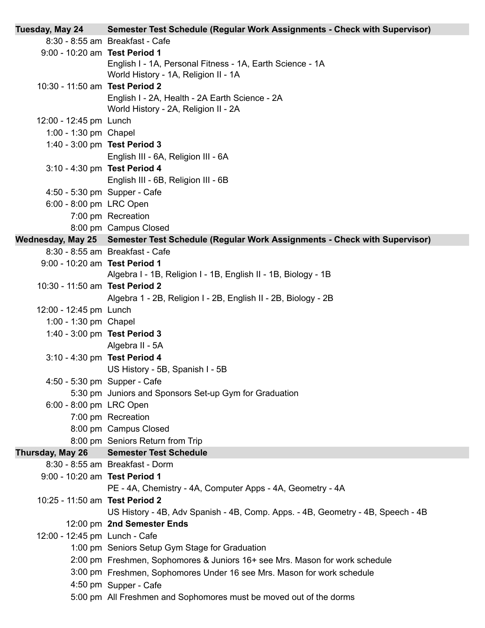| Tuesday, May 24                | Semester Test Schedule (Regular Work Assignments - Check with Supervisor)                   |
|--------------------------------|---------------------------------------------------------------------------------------------|
|                                | 8:30 - 8:55 am Breakfast - Cafe                                                             |
| 9:00 - 10:20 am Test Period 1  |                                                                                             |
|                                | English I - 1A, Personal Fitness - 1A, Earth Science - 1A                                   |
|                                | World History - 1A, Religion II - 1A                                                        |
| 10:30 - 11:50 am Test Period 2 |                                                                                             |
|                                | English I - 2A, Health - 2A Earth Science - 2A                                              |
|                                | World History - 2A, Religion II - 2A                                                        |
| 12:00 - 12:45 pm Lunch         |                                                                                             |
| 1:00 - 1:30 pm Chapel          |                                                                                             |
| 1:40 - 3:00 pm Test Period 3   |                                                                                             |
|                                | English III - 6A, Religion III - 6A                                                         |
| 3:10 - 4:30 pm Test Period 4   |                                                                                             |
|                                | English III - 6B, Religion III - 6B                                                         |
| 4:50 - 5:30 pm Supper - Cafe   |                                                                                             |
| 6:00 - 8:00 pm LRC Open        |                                                                                             |
|                                | 7:00 pm Recreation                                                                          |
|                                | 8:00 pm Campus Closed                                                                       |
|                                | Wednesday, May 25 Semester Test Schedule (Regular Work Assignments - Check with Supervisor) |
|                                | 8:30 - 8:55 am Breakfast - Cafe                                                             |
| 9:00 - 10:20 am Test Period 1  |                                                                                             |
|                                | Algebra I - 1B, Religion I - 1B, English II - 1B, Biology - 1B                              |
| 10:30 - 11:50 am Test Period 2 |                                                                                             |
|                                | Algebra 1 - 2B, Religion I - 2B, English II - 2B, Biology - 2B                              |
| 12:00 - 12:45 pm Lunch         |                                                                                             |
| 1:00 - 1:30 pm Chapel          |                                                                                             |
| 1:40 - 3:00 pm Test Period 3   |                                                                                             |
|                                | Algebra II - 5A                                                                             |
| 3:10 - 4:30 pm Test Period 4   |                                                                                             |
|                                | US History - 5B, Spanish I - 5B                                                             |
|                                | 4:50 - 5:30 pm Supper - Cafe                                                                |
|                                | 5:30 pm Juniors and Sponsors Set-up Gym for Graduation                                      |
| 6:00 - 8:00 pm LRC Open        |                                                                                             |
|                                | 7:00 pm Recreation                                                                          |
|                                | 8:00 pm Campus Closed                                                                       |
|                                | 8:00 pm Seniors Return from Trip                                                            |
| Thursday, May 26               | <b>Semester Test Schedule</b>                                                               |
|                                | 8:30 - 8:55 am Breakfast - Dorm                                                             |
| 9:00 - 10:20 am Test Period 1  |                                                                                             |
|                                | PE - 4A, Chemistry - 4A, Computer Apps - 4A, Geometry - 4A                                  |
| 10:25 - 11:50 am Test Period 2 |                                                                                             |
|                                | US History - 4B, Adv Spanish - 4B, Comp. Apps. - 4B, Geometry - 4B, Speech - 4B             |
|                                | 12:00 pm 2nd Semester Ends                                                                  |
| 12:00 - 12:45 pm Lunch - Cafe  |                                                                                             |
|                                | 1:00 pm Seniors Setup Gym Stage for Graduation                                              |
|                                | 2:00 pm Freshmen, Sophomores & Juniors 16+ see Mrs. Mason for work schedule                 |
|                                | 3:00 pm Freshmen, Sophomores Under 16 see Mrs. Mason for work schedule                      |
|                                | 4:50 pm Supper - Cafe                                                                       |
|                                | 5:00 pm All Freshmen and Sophomores must be moved out of the dorms                          |